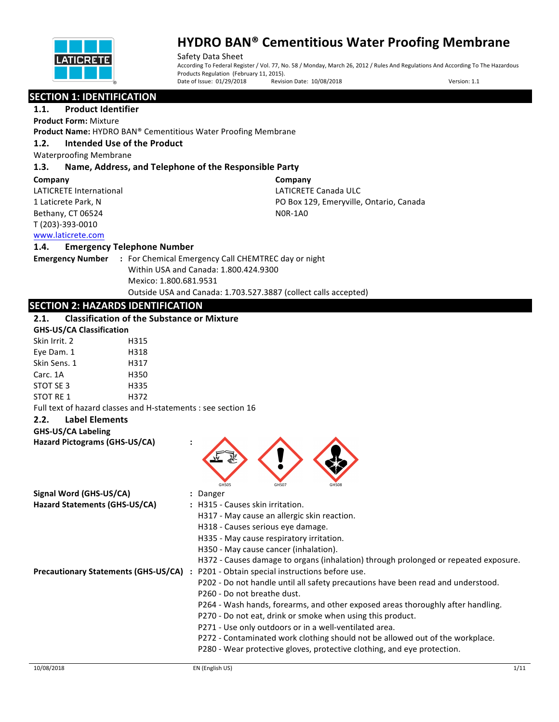

Safety Data Sheet According To Federal Register / Vol. 77, No. 58 / Monday, March 26, 2012 / Rules And Regulations And According To The Hazardous Products Regulation (February 11, 2015). Date of Issue: 01/29/2018 Revision Date: 10/08/2018 Version: 1.1

#### **SECTION 1: IDENTIFICATION**

**1.1.** Product Identifier **Product Form:** Mixture

**Product Name:** HYDRO BAN® Cementitious Water Proofing Membrane

#### **1.2. Intended Use of the Product**

Waterproofing Membrane

#### **1.3. Name, Address, and Telephone of the Responsible Party**

#### **Company**

LATICRETE International 1 Laticrete Park, N Bethany, CT 06524 T (203)-393-0010

**Company** LATICRETE Canada ULC PO Box 129, Emeryville, Ontario, Canada N0R-1A0

### www.laticrete.com

#### **1.4. Emergency Telephone Number**

**Emergency Number : For Chemical Emergency Call CHEMTREC day or night** Within USA and Canada: 1.800.424.9300 Mexico: 1.800.681.9531 Outside USA and Canada: 1.703.527.3887 (collect calls accepted)

### **SECTION 2: HAZARDS IDENTIFICATION**

### **2.1. Classification of the Substance or Mixture**

| <b>GHS-US/CA Classification</b> |      |  |  |
|---------------------------------|------|--|--|
| Skin Irrit. 2                   | H315 |  |  |
| Eye Dam. 1                      | H318 |  |  |
| Skin Sens. 1                    | H317 |  |  |
| Carc. 1A                        | H350 |  |  |
| STOT SE 3                       | H335 |  |  |
| STOT RF 1                       | H372 |  |  |
|                                 |      |  |  |

Full text of hazard classes and H-statements : see section 16

#### **2.2. Label Elements**

#### **GHS-US/CA Labeling**

**Hazard Pictograms (GHS-US/CA) :**



| Signal Word (GHS-US/CA)              |  | : Danger                                                                            |
|--------------------------------------|--|-------------------------------------------------------------------------------------|
| Hazard Statements (GHS-US/CA)        |  | : H315 - Causes skin irritation.                                                    |
|                                      |  | H317 - May cause an allergic skin reaction.                                         |
|                                      |  | H318 - Causes serious eye damage.                                                   |
|                                      |  | H335 - May cause respiratory irritation.                                            |
|                                      |  | H350 - May cause cancer (inhalation).                                               |
|                                      |  | H372 - Causes damage to organs (inhalation) through prolonged or repeated exposure. |
| Precautionary Statements (GHS-US/CA) |  | : P201 - Obtain special instructions before use.                                    |
|                                      |  | P202 - Do not handle until all safety precautions have been read and understood.    |
|                                      |  | P260 - Do not breathe dust.                                                         |
|                                      |  | P264 - Wash hands, forearms, and other exposed areas thoroughly after handling.     |
|                                      |  | P270 - Do not eat, drink or smoke when using this product.                          |
|                                      |  | P271 - Use only outdoors or in a well-ventilated area.                              |
|                                      |  | P272 - Contaminated work clothing should not be allowed out of the workplace.       |
|                                      |  | P280 - Wear protective gloves, protective clothing, and eye protection.             |
|                                      |  |                                                                                     |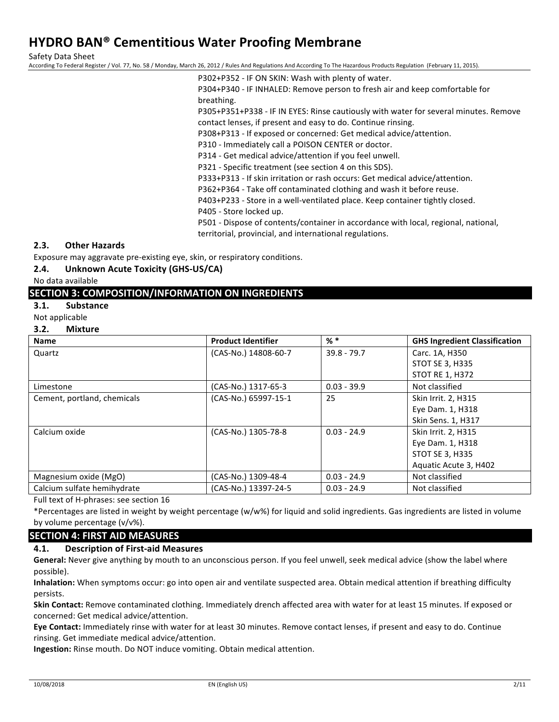Safety Data Sheet

According To Federal Register / Vol. 77, No. 58 / Monday, March 26, 2012 / Rules And Regulations And According To The Hazardous Products Regulation (February 11, 2015).

P302+P352 - IF ON SKIN: Wash with plenty of water.

P304+P340 - IF INHALED: Remove person to fresh air and keep comfortable for breathing.

P305+P351+P338 - IF IN EYES: Rinse cautiously with water for several minutes. Remove contact lenses, if present and easy to do. Continue rinsing.

P308+P313 - If exposed or concerned: Get medical advice/attention.

P310 - Immediately call a POISON CENTER or doctor.

P314 - Get medical advice/attention if you feel unwell.

P321 - Specific treatment (see section 4 on this SDS).

P333+P313 - If skin irritation or rash occurs: Get medical advice/attention.

P362+P364 - Take off contaminated clothing and wash it before reuse.

P403+P233 - Store in a well-ventilated place. Keep container tightly closed.

P405 - Store locked up.

P501 - Dispose of contents/container in accordance with local, regional, national, territorial, provincial, and international regulations.

#### **2.3. Other Hazards**

Exposure may aggravate pre-existing eye, skin, or respiratory conditions.

#### **2.4.** Unknown Acute Toxicity (GHS-US/CA)

No data available

#### **SECTION 3: COMPOSITION/INFORMATION ON INGREDIENTS**

- **3.1. Substance**
- Not applicable

#### **3.2. Mixture**

| <b>Name</b>                 | <b>Product Identifier</b> | $%$ $*$       | <b>GHS Ingredient Classification</b> |
|-----------------------------|---------------------------|---------------|--------------------------------------|
| Quartz                      | (CAS-No.) 14808-60-7      | $39.8 - 79.7$ | Carc. 1A, H350                       |
|                             |                           |               | <b>STOT SE 3, H335</b>               |
|                             |                           |               | <b>STOT RE 1, H372</b>               |
| Limestone                   | (CAS-No.) 1317-65-3       | $0.03 - 39.9$ | Not classified                       |
| Cement, portland, chemicals | (CAS-No.) 65997-15-1      | 25            | Skin Irrit. 2, H315                  |
|                             |                           |               | Eye Dam. 1, H318                     |
|                             |                           |               | Skin Sens. 1, H317                   |
| Calcium oxide               | (CAS-No.) 1305-78-8       | $0.03 - 24.9$ | Skin Irrit. 2, H315                  |
|                             |                           |               | Eye Dam. 1, H318                     |
|                             |                           |               | <b>STOT SE 3, H335</b>               |
|                             |                           |               | Aquatic Acute 3, H402                |
| Magnesium oxide (MgO)       | (CAS-No.) 1309-48-4       | $0.03 - 24.9$ | Not classified                       |
| Calcium sulfate hemihydrate | (CAS-No.) 13397-24-5      | $0.03 - 24.9$ | Not classified                       |

Full text of H-phrases: see section 16

\*Percentages are listed in weight by weight percentage (w/w%) for liquid and solid ingredients. Gas ingredients are listed in volume by volume percentage (v/v%).

#### **SECTION 4: FIRST AID MEASURES**

#### **4.1. Description of First-aid Measures**

General: Never give anything by mouth to an unconscious person. If you feel unwell, seek medical advice (show the label where possible).

Inhalation: When symptoms occur: go into open air and ventilate suspected area. Obtain medical attention if breathing difficulty persists.

Skin Contact: Remove contaminated clothing. Immediately drench affected area with water for at least 15 minutes. If exposed or concerned: Get medical advice/attention.

Eye Contact: Immediately rinse with water for at least 30 minutes. Remove contact lenses, if present and easy to do. Continue rinsing. Get immediate medical advice/attention.

**Ingestion:** Rinse mouth. Do NOT induce vomiting. Obtain medical attention.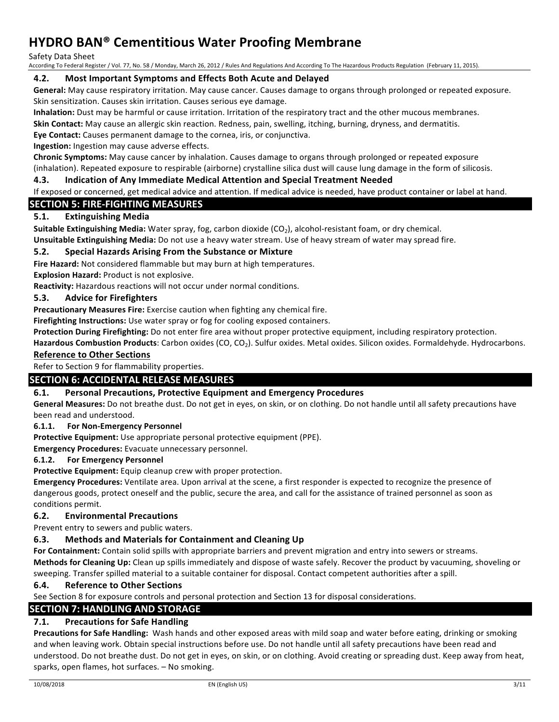Safety Data Sheet

According To Federal Register / Vol. 77, No. 58 / Monday, March 26, 2012 / Rules And Regulations And According To The Hazardous Products Regulation (February 11, 2015).

#### **4.2.** Most Important Symptoms and Effects Both Acute and Delayed

General: May cause respiratory irritation. May cause cancer. Causes damage to organs through prolonged or repeated exposure. Skin sensitization. Causes skin irritation. Causes serious eye damage.

**Inhalation:** Dust may be harmful or cause irritation. Irritation of the respiratory tract and the other mucous membranes.

**Skin Contact:** May cause an allergic skin reaction. Redness, pain, swelling, itching, burning, dryness, and dermatitis.

**Eye Contact:** Causes permanent damage to the cornea, iris, or conjunctiva.

**Ingestion:** Ingestion may cause adverse effects.

**Chronic Symptoms:** May cause cancer by inhalation. Causes damage to organs through prolonged or repeated exposure (inhalation). Repeated exposure to respirable (airborne) crystalline silica dust will cause lung damage in the form of silicosis.

#### **4.3. Indication of Any Immediate Medical Attention and Special Treatment Needed**

#### If exposed or concerned, get medical advice and attention. If medical advice is needed, have product container or label at hand.

#### **SECTION 5: FIRE-FIGHTING MEASURES**

#### **5.1. Extinguishing Media**

**Suitable Extinguishing Media:** Water spray, fog, carbon dioxide (CO<sub>2</sub>), alcohol-resistant foam, or dry chemical.

**Unsuitable Extinguishing Media:** Do not use a heavy water stream. Use of heavy stream of water may spread fire.

#### **5.2.** Special Hazards Arising From the Substance or Mixture

**Fire Hazard:** Not considered flammable but may burn at high temperatures.

**Explosion Hazard: Product is not explosive.** 

**Reactivity:** Hazardous reactions will not occur under normal conditions.

#### **5.3. Advice for Firefighters**

**Precautionary Measures Fire:** Exercise caution when fighting any chemical fire.

**Firefighting Instructions:** Use water spray or fog for cooling exposed containers.

Protection During Firefighting: Do not enter fire area without proper protective equipment, including respiratory protection.

Hazardous Combustion Products: Carbon oxides (CO, CO<sub>2</sub>). Sulfur oxides. Metal oxides. Silicon oxides. Formaldehyde. Hydrocarbons. **Reference to Other Sections** 

Refer to Section 9 for flammability properties.

#### **SECTION 6: ACCIDENTAL RELEASE MEASURES**

#### **6.1.** Personal Precautions, Protective Equipment and Emergency Procedures

General Measures: Do not breathe dust. Do not get in eyes, on skin, or on clothing. Do not handle until all safety precautions have been read and understood.

#### **6.1.1.** For Non-Emergency Personnel

**Protective Equipment:** Use appropriate personal protective equipment (PPE).

**Emergency Procedures:** Evacuate unnecessary personnel.

#### **6.1.2.** For Emergency Personnel

Protective Equipment: Equip cleanup crew with proper protection.

**Emergency Procedures:** Ventilate area. Upon arrival at the scene, a first responder is expected to recognize the presence of dangerous goods, protect oneself and the public, secure the area, and call for the assistance of trained personnel as soon as conditions permit.

#### **6.2. Environmental Precautions**

Prevent entry to sewers and public waters.

#### **6.3.** Methods and Materials for Containment and Cleaning Up

For Containment: Contain solid spills with appropriate barriers and prevent migration and entry into sewers or streams.

**Methods for Cleaning Up:** Clean up spills immediately and dispose of waste safely. Recover the product by vacuuming, shoveling or sweeping. Transfer spilled material to a suitable container for disposal. Contact competent authorities after a spill.

#### **6.4. Reference to Other Sections**

See Section 8 for exposure controls and personal protection and Section 13 for disposal considerations.

#### **SECTION 7: HANDLING AND STORAGE**

### **7.1.** Precautions for Safe Handling

**Precautions for Safe Handling:** Wash hands and other exposed areas with mild soap and water before eating, drinking or smoking and when leaving work. Obtain special instructions before use. Do not handle until all safety precautions have been read and understood. Do not breathe dust. Do not get in eyes, on skin, or on clothing. Avoid creating or spreading dust. Keep away from heat, sparks, open flames, hot surfaces. - No smoking.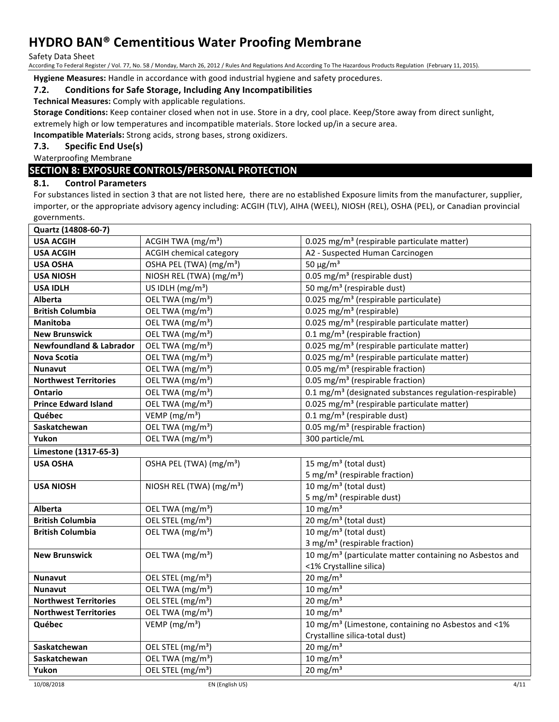Safety Data Sheet

According To Federal Register / Vol. 77, No. 58 / Monday, March 26, 2012 / Rules And Regulations And According To The Hazardous Products Regulation (February 11, 2015).

**Hygiene Measures:** Handle in accordance with good industrial hygiene and safety procedures.

#### **7.2. Conditions for Safe Storage, Including Any Incompatibilities**

**Technical Measures:** Comply with applicable regulations.

**Storage Conditions:** Keep container closed when not in use. Store in a dry, cool place. Keep/Store away from direct sunlight, extremely high or low temperatures and incompatible materials. Store locked up/in a secure area.

**Incompatible Materials:** Strong acids, strong bases, strong oxidizers.

#### **7.3.** Specific End Use(s)

Waterproofing Membrane

#### **SECTION 8: EXPOSURE CONTROLS/PERSONAL PROTECTION**

#### **8.1. Control Parameters**

For substances listed in section 3 that are not listed here, there are no established Exposure limits from the manufacturer, supplier, importer, or the appropriate advisory agency including: ACGIH (TLV), AIHA (WEEL), NIOSH (REL), OSHA (PEL), or Canadian provincial governments.

| Quartz (14808-60-7)                |                                      |                                                                     |  |  |
|------------------------------------|--------------------------------------|---------------------------------------------------------------------|--|--|
| <b>USA ACGIH</b>                   | ACGIH TWA (mg/m <sup>3</sup> )       | 0.025 mg/m <sup>3</sup> (respirable particulate matter)             |  |  |
| <b>USA ACGIH</b>                   | <b>ACGIH chemical category</b>       | A2 - Suspected Human Carcinogen                                     |  |  |
| <b>USA OSHA</b>                    | OSHA PEL (TWA) (mg/m <sup>3</sup> )  | 50 $\mu$ g/m <sup>3</sup>                                           |  |  |
| <b>USA NIOSH</b>                   | NIOSH REL (TWA) (mg/m <sup>3</sup> ) | 0.05 mg/m <sup>3</sup> (respirable dust)                            |  |  |
| <b>USA IDLH</b>                    | US IDLH (mg/m <sup>3</sup> )         | 50 mg/m <sup>3</sup> (respirable dust)                              |  |  |
| <b>Alberta</b>                     | OEL TWA (mg/m <sup>3</sup> )         | 0.025 mg/m <sup>3</sup> (respirable particulate)                    |  |  |
| <b>British Columbia</b>            | OEL TWA (mg/m <sup>3</sup> )         | 0.025 mg/m <sup>3</sup> (respirable)                                |  |  |
| <b>Manitoba</b>                    | OEL TWA (mg/m <sup>3</sup> )         | 0.025 mg/m <sup>3</sup> (respirable particulate matter)             |  |  |
| <b>New Brunswick</b>               | OEL TWA (mg/m <sup>3</sup> )         | 0.1 mg/m <sup>3</sup> (respirable fraction)                         |  |  |
| <b>Newfoundland &amp; Labrador</b> | OEL TWA (mg/m <sup>3</sup> )         | 0.025 mg/m <sup>3</sup> (respirable particulate matter)             |  |  |
| Nova Scotia                        | OEL TWA (mg/m <sup>3</sup> )         | 0.025 mg/m <sup>3</sup> (respirable particulate matter)             |  |  |
| <b>Nunavut</b>                     | OEL TWA (mg/m <sup>3</sup> )         | $0.05$ mg/m <sup>3</sup> (respirable fraction)                      |  |  |
| <b>Northwest Territories</b>       | OEL TWA (mg/m <sup>3</sup> )         | 0.05 mg/m <sup>3</sup> (respirable fraction)                        |  |  |
| Ontario                            | OEL TWA (mg/m <sup>3</sup> )         | 0.1 mg/m <sup>3</sup> (designated substances regulation-respirable) |  |  |
| <b>Prince Edward Island</b>        | OEL TWA (mg/m <sup>3</sup> )         | 0.025 mg/m <sup>3</sup> (respirable particulate matter)             |  |  |
| Québec                             | VEMP (mg/m <sup>3</sup> )            | 0.1 mg/m <sup>3</sup> (respirable dust)                             |  |  |
| Saskatchewan                       | OEL TWA (mg/m <sup>3</sup> )         | 0.05 mg/m <sup>3</sup> (respirable fraction)                        |  |  |
| Yukon                              | OEL TWA (mg/m <sup>3</sup> )         | 300 particle/mL                                                     |  |  |
| Limestone (1317-65-3)              |                                      |                                                                     |  |  |
| <b>USA OSHA</b>                    | OSHA PEL (TWA) (mg/m <sup>3</sup> )  | 15 mg/m <sup>3</sup> (total dust)                                   |  |  |
|                                    |                                      | 5 mg/m <sup>3</sup> (respirable fraction)                           |  |  |
| <b>USA NIOSH</b>                   | NIOSH REL (TWA) (mg/m <sup>3</sup> ) | 10 mg/m <sup>3</sup> (total dust)                                   |  |  |
|                                    |                                      | 5 mg/m <sup>3</sup> (respirable dust)                               |  |  |
| <b>Alberta</b>                     | OEL TWA (mg/m <sup>3</sup> )         | $10 \text{ mg/m}^3$                                                 |  |  |
| <b>British Columbia</b>            | OEL STEL (mg/m <sup>3</sup> )        | $20 \,\mathrm{mg/m}^3$ (total dust)                                 |  |  |
| <b>British Columbia</b>            | OEL TWA (mg/m <sup>3</sup> )         | 10 mg/m <sup>3</sup> (total dust)                                   |  |  |
|                                    |                                      | 3 mg/m <sup>3</sup> (respirable fraction)                           |  |  |
| <b>New Brunswick</b>               | OEL TWA (mg/m <sup>3</sup> )         | 10 mg/m <sup>3</sup> (particulate matter containing no Asbestos and |  |  |
|                                    |                                      | <1% Crystalline silica)                                             |  |  |
| <b>Nunavut</b>                     | OEL STEL (mg/m <sup>3</sup> )        | 20 mg/m $3$                                                         |  |  |
| <b>Nunavut</b>                     | OEL TWA (mg/m <sup>3</sup> )         | $10 \text{ mg/m}^3$                                                 |  |  |
| <b>Northwest Territories</b>       | OEL STEL (mg/m <sup>3</sup> )        | $20$ mg/m <sup>3</sup>                                              |  |  |
| <b>Northwest Territories</b>       | OEL TWA (mg/m <sup>3</sup> )         | $10 \text{ mg/m}^3$                                                 |  |  |
| Québec                             | VEMP $(mg/m3)$                       | 10 mg/m <sup>3</sup> (Limestone, containing no Asbestos and <1%     |  |  |
|                                    |                                      | Crystalline silica-total dust)                                      |  |  |
| Saskatchewan                       | OEL STEL (mg/m <sup>3</sup> )        | $20 \text{ mg/m}^3$                                                 |  |  |
| Saskatchewan                       | OEL TWA (mg/m <sup>3</sup> )         | $10 \text{ mg/m}^3$                                                 |  |  |
| Yukon                              | OEL STEL (mg/m <sup>3</sup> )        | $20 \text{ mg/m}^3$                                                 |  |  |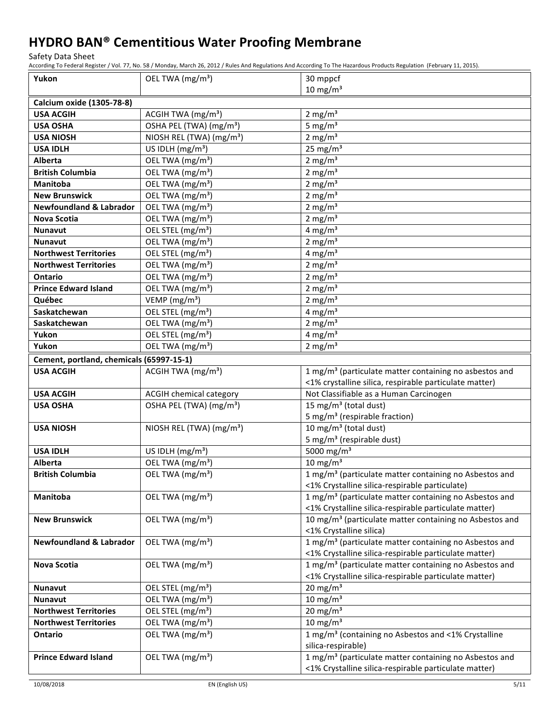Safety Data Sheet

According To Federal Register / Vol. 77, No. 58 / Monday, March 26, 2012 / Rules And Regulations And According To The Hazardous Products Regulation (February 11, 2015).

| Yukon                                    | OEL TWA (mg/m <sup>3</sup> )         | 30 mppcf                                                            |  |  |  |
|------------------------------------------|--------------------------------------|---------------------------------------------------------------------|--|--|--|
|                                          |                                      | $10 \text{ mg/m}^3$                                                 |  |  |  |
| Calcium oxide (1305-78-8)                |                                      |                                                                     |  |  |  |
| <b>USA ACGIH</b>                         | ACGIH TWA (mg/m <sup>3</sup> )       | $2 \text{ mg/m}^3$                                                  |  |  |  |
| <b>USA OSHA</b>                          | OSHA PEL (TWA) (mg/m <sup>3</sup> )  | 5 mg/ $m3$                                                          |  |  |  |
| <b>USA NIOSH</b>                         | NIOSH REL (TWA) (mg/m <sup>3</sup> ) | $2 \text{ mg/m}^3$                                                  |  |  |  |
| <b>USA IDLH</b>                          | US IDLH (mg/m <sup>3</sup> )         | $25 \text{ mg/m}^3$                                                 |  |  |  |
| <b>Alberta</b>                           | OEL TWA (mg/m <sup>3</sup> )         | 2 mg/ $m3$                                                          |  |  |  |
| <b>British Columbia</b>                  | OEL TWA (mg/m <sup>3</sup> )         | 2 mg/ $m3$                                                          |  |  |  |
| <b>Manitoba</b>                          | OEL TWA (mg/m <sup>3</sup> )         | $2 \text{ mg/m}^3$                                                  |  |  |  |
| <b>New Brunswick</b>                     | OEL TWA (mg/m <sup>3</sup> )         | $2 \text{ mg/m}^3$                                                  |  |  |  |
| <b>Newfoundland &amp; Labrador</b>       | OEL TWA (mg/m <sup>3</sup> )         | $2 \text{ mg/m}^3$                                                  |  |  |  |
| <b>Nova Scotia</b>                       | OEL TWA (mg/m <sup>3</sup> )         | 2 mg/ $m3$                                                          |  |  |  |
| <b>Nunavut</b>                           | OEL STEL (mg/m <sup>3</sup> )        | $4 \text{ mg/m}^3$                                                  |  |  |  |
| <b>Nunavut</b>                           | OEL TWA (mg/m <sup>3</sup> )         | $2 \text{ mg/m}^3$                                                  |  |  |  |
| <b>Northwest Territories</b>             | OEL STEL (mg/m <sup>3</sup> )        | $4 \text{ mg/m}^3$                                                  |  |  |  |
| <b>Northwest Territories</b>             | OEL TWA (mg/m <sup>3</sup> )         | $2$ mg/m <sup>3</sup>                                               |  |  |  |
| Ontario                                  | OEL TWA (mg/m <sup>3</sup> )         | $2$ mg/m <sup>3</sup>                                               |  |  |  |
| <b>Prince Edward Island</b>              | OEL TWA (mg/m <sup>3</sup> )         | 2 mg/ $m3$                                                          |  |  |  |
| Québec                                   | VEMP (mg/m <sup>3</sup> )            | $2$ mg/m <sup>3</sup>                                               |  |  |  |
| Saskatchewan                             | OEL STEL (mg/m <sup>3</sup> )        | 4 mg/ $m3$                                                          |  |  |  |
| Saskatchewan                             | OEL TWA (mg/m <sup>3</sup> )         | $2 \text{ mg/m}^3$                                                  |  |  |  |
| Yukon                                    | OEL STEL (mg/m <sup>3</sup> )        | $4$ mg/m <sup>3</sup>                                               |  |  |  |
| Yukon                                    | OEL TWA (mg/m <sup>3</sup> )         | $2 \text{ mg/m}^3$                                                  |  |  |  |
| Cement, portland, chemicals (65997-15-1) |                                      |                                                                     |  |  |  |
| <b>USA ACGIH</b>                         | ACGIH TWA (mg/m <sup>3</sup> )       | 1 mg/m <sup>3</sup> (particulate matter containing no asbestos and  |  |  |  |
|                                          |                                      | <1% crystalline silica, respirable particulate matter)              |  |  |  |
| <b>USA ACGIH</b>                         | <b>ACGIH chemical category</b>       | Not Classifiable as a Human Carcinogen                              |  |  |  |
| <b>USA OSHA</b>                          | OSHA PEL (TWA) (mg/m <sup>3</sup> )  | 15 mg/m <sup>3</sup> (total dust)                                   |  |  |  |
|                                          |                                      | 5 mg/m <sup>3</sup> (respirable fraction)                           |  |  |  |
| <b>USA NIOSH</b>                         | NIOSH REL (TWA) (mg/m <sup>3</sup> ) | 10 mg/m <sup>3</sup> (total dust)                                   |  |  |  |
|                                          |                                      | 5 mg/m <sup>3</sup> (respirable dust)                               |  |  |  |
| <b>USA IDLH</b>                          | US IDLH $(mg/m3)$                    | 5000 mg/m <sup>3</sup>                                              |  |  |  |
| Alberta                                  | OEL TWA (mg/m <sup>3</sup> )         | $10 \text{ mg/m}^3$                                                 |  |  |  |
| <b>British Columbia</b>                  | OEL TWA (mg/m <sup>3</sup> )         | 1 mg/m <sup>3</sup> (particulate matter containing no Asbestos and  |  |  |  |
|                                          |                                      | <1% Crystalline silica-respirable particulate)                      |  |  |  |
| Manitoba                                 | OEL TWA (mg/m <sup>3</sup> )         | 1 mg/m <sup>3</sup> (particulate matter containing no Asbestos and  |  |  |  |
|                                          |                                      | <1% Crystalline silica-respirable particulate matter)               |  |  |  |
| <b>New Brunswick</b>                     | OEL TWA (mg/m <sup>3</sup> )         | 10 mg/m <sup>3</sup> (particulate matter containing no Asbestos and |  |  |  |
|                                          |                                      | <1% Crystalline silica)                                             |  |  |  |
| <b>Newfoundland &amp; Labrador</b>       | OEL TWA (mg/m <sup>3</sup> )         | 1 mg/m <sup>3</sup> (particulate matter containing no Asbestos and  |  |  |  |
|                                          |                                      | <1% Crystalline silica-respirable particulate matter)               |  |  |  |
| Nova Scotia                              | OEL TWA (mg/m <sup>3</sup> )         | 1 mg/m <sup>3</sup> (particulate matter containing no Asbestos and  |  |  |  |
|                                          |                                      | <1% Crystalline silica-respirable particulate matter)               |  |  |  |
| <b>Nunavut</b>                           | OEL STEL (mg/m <sup>3</sup> )        | $20 \text{ mg/m}^3$                                                 |  |  |  |
| <b>Nunavut</b>                           | OEL TWA (mg/m <sup>3</sup> )         | $10 \text{ mg/m}^3$                                                 |  |  |  |
| <b>Northwest Territories</b>             | OEL STEL (mg/m <sup>3</sup> )        | $20 \text{ mg/m}^3$                                                 |  |  |  |
| <b>Northwest Territories</b>             | OEL TWA (mg/m <sup>3</sup> )         | $10 \text{ mg/m}^3$                                                 |  |  |  |
| Ontario                                  | OEL TWA (mg/m <sup>3</sup> )         | 1 mg/m <sup>3</sup> (containing no Asbestos and <1% Crystalline     |  |  |  |
|                                          |                                      | silica-respirable)                                                  |  |  |  |
| <b>Prince Edward Island</b>              | OEL TWA (mg/m <sup>3</sup> )         | 1 mg/m <sup>3</sup> (particulate matter containing no Asbestos and  |  |  |  |
|                                          |                                      | <1% Crystalline silica-respirable particulate matter)               |  |  |  |

10/08/2018 EN (English US) 5/11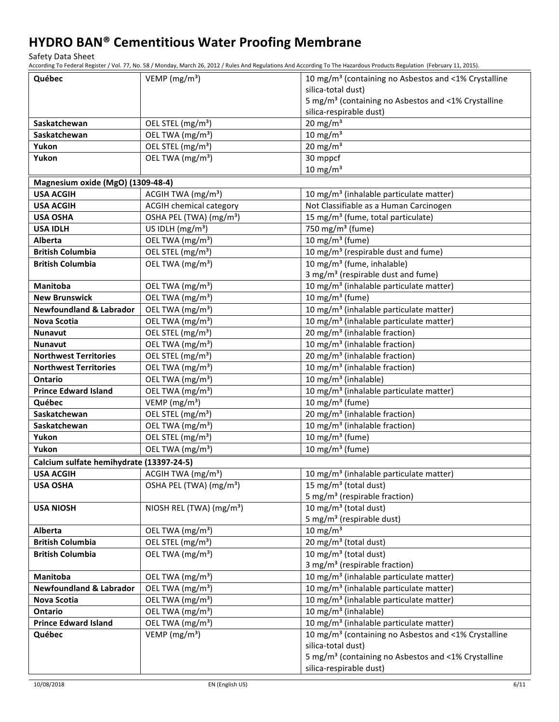Safety Data Sheet

According To Federal Register / Vol. 77, No. 58 / Monday, March 26, 2012 / Rules And Regulations And According To The Hazardous Products Regulation (February 11, 2015).

| Québec                                   | VEMP ( $mg/m3$ )                     | 10 mg/m <sup>3</sup> (containing no Asbestos and <1% Crystalline |
|------------------------------------------|--------------------------------------|------------------------------------------------------------------|
|                                          |                                      | silica-total dust)                                               |
|                                          |                                      | 5 mg/m <sup>3</sup> (containing no Asbestos and <1% Crystalline  |
|                                          |                                      | silica-respirable dust)                                          |
| Saskatchewan                             | OEL STEL (mg/m <sup>3</sup> )        | $20$ mg/m <sup>3</sup>                                           |
| Saskatchewan                             | OEL TWA (mg/m <sup>3</sup> )         | $10 \text{ mg/m}^3$                                              |
| Yukon                                    | OEL STEL (mg/m <sup>3</sup> )        | $20$ mg/m <sup>3</sup>                                           |
| Yukon                                    | OEL TWA (mg/m <sup>3</sup> )         | 30 mppcf                                                         |
|                                          |                                      | $10 \text{ mg/m}^3$                                              |
| Magnesium oxide (MgO) (1309-48-4)        |                                      |                                                                  |
| <b>USA ACGIH</b>                         | ACGIH TWA (mg/m <sup>3</sup> )       | 10 mg/m <sup>3</sup> (inhalable particulate matter)              |
| <b>USA ACGIH</b>                         | <b>ACGIH chemical category</b>       | Not Classifiable as a Human Carcinogen                           |
| <b>USA OSHA</b>                          | OSHA PEL (TWA) (mg/m <sup>3</sup> )  | 15 mg/m <sup>3</sup> (fume, total particulate)                   |
| <b>USA IDLH</b>                          | US IDLH (mg/m <sup>3</sup> )         | 750 mg/m <sup>3</sup> (fume)                                     |
| <b>Alberta</b>                           | OEL TWA (mg/m <sup>3</sup> )         | $10$ mg/m <sup>3</sup> (fume)                                    |
| <b>British Columbia</b>                  | OEL STEL (mg/m <sup>3</sup> )        | 10 mg/m <sup>3</sup> (respirable dust and fume)                  |
| <b>British Columbia</b>                  | OEL TWA (mg/m <sup>3</sup> )         | 10 mg/m <sup>3</sup> (fume, inhalable)                           |
|                                          |                                      | 3 mg/m <sup>3</sup> (respirable dust and fume)                   |
| <b>Manitoba</b>                          | OEL TWA (mg/m <sup>3</sup> )         | 10 mg/m <sup>3</sup> (inhalable particulate matter)              |
| <b>New Brunswick</b>                     | OEL TWA (mg/m <sup>3</sup> )         | 10 mg/m $3$ (fume)                                               |
| <b>Newfoundland &amp; Labrador</b>       | OEL TWA (mg/m <sup>3</sup> )         | 10 mg/m <sup>3</sup> (inhalable particulate matter)              |
| <b>Nova Scotia</b>                       | OEL TWA (mg/m <sup>3</sup> )         | 10 mg/m <sup>3</sup> (inhalable particulate matter)              |
| <b>Nunavut</b>                           | OEL STEL (mg/m <sup>3</sup> )        | 20 mg/m <sup>3</sup> (inhalable fraction)                        |
| <b>Nunavut</b>                           | OEL TWA (mg/m <sup>3</sup> )         | 10 mg/m <sup>3</sup> (inhalable fraction)                        |
| <b>Northwest Territories</b>             | OEL STEL (mg/m <sup>3</sup> )        | 20 mg/m <sup>3</sup> (inhalable fraction)                        |
| <b>Northwest Territories</b>             | OEL TWA (mg/m <sup>3</sup> )         | 10 mg/m <sup>3</sup> (inhalable fraction)                        |
| <b>Ontario</b>                           | OEL TWA (mg/m <sup>3</sup> )         | 10 mg/m <sup>3</sup> (inhalable)                                 |
| <b>Prince Edward Island</b>              | OEL TWA (mg/m <sup>3</sup> )         | 10 mg/m <sup>3</sup> (inhalable particulate matter)              |
| Québec                                   | VEMP (mg/m <sup>3</sup> )            | 10 mg/m $3$ (fume)                                               |
| Saskatchewan                             | OEL STEL (mg/m <sup>3</sup> )        | 20 mg/m <sup>3</sup> (inhalable fraction)                        |
| Saskatchewan                             | OEL TWA (mg/m <sup>3</sup> )         | 10 mg/m <sup>3</sup> (inhalable fraction)                        |
| Yukon                                    | OEL STEL (mg/m <sup>3</sup> )        | $10 \text{ mg/m}^3$ (fume)                                       |
| Yukon                                    | OEL TWA (mg/m <sup>3</sup> )         | 10 mg/m $3$ (fume)                                               |
| Calcium sulfate hemihydrate (13397-24-5) |                                      |                                                                  |
| <b>USA ACGIH</b>                         | ACGIH TWA (mg/m <sup>3</sup> )       | 10 mg/m <sup>3</sup> (inhalable particulate matter)              |
| <b>USA OSHA</b>                          | OSHA PEL (TWA) (mg/m <sup>3</sup> )  | 15 mg/m <sup>3</sup> (total dust)                                |
|                                          |                                      | 5 mg/m <sup>3</sup> (respirable fraction)                        |
| <b>USA NIOSH</b>                         | NIOSH REL (TWA) (mg/m <sup>3</sup> ) | 10 mg/m <sup>3</sup> (total dust)                                |
|                                          |                                      | 5 mg/m <sup>3</sup> (respirable dust)                            |
| Alberta                                  | OEL TWA (mg/m <sup>3</sup> )         | $10 \text{ mg/m}^3$                                              |
| <b>British Columbia</b>                  | OEL STEL (mg/m <sup>3</sup> )        | 20 mg/m <sup>3</sup> (total dust)                                |
| <b>British Columbia</b>                  | OEL TWA (mg/m <sup>3</sup> )         | 10 mg/m <sup>3</sup> (total dust)                                |
|                                          |                                      | 3 mg/m <sup>3</sup> (respirable fraction)                        |
| Manitoba                                 | OEL TWA (mg/m <sup>3</sup> )         | 10 mg/m <sup>3</sup> (inhalable particulate matter)              |
| <b>Newfoundland &amp; Labrador</b>       | OEL TWA (mg/m <sup>3</sup> )         | 10 mg/m <sup>3</sup> (inhalable particulate matter)              |
| <b>Nova Scotia</b>                       | OEL TWA (mg/m <sup>3</sup> )         | 10 mg/m <sup>3</sup> (inhalable particulate matter)              |
| <b>Ontario</b>                           | OEL TWA (mg/m <sup>3</sup> )         | 10 mg/m <sup>3</sup> (inhalable)                                 |
| <b>Prince Edward Island</b>              | OEL TWA (mg/m <sup>3</sup> )         | 10 mg/m <sup>3</sup> (inhalable particulate matter)              |
| Québec                                   | VEMP ( $mg/m3$ )                     | 10 mg/m <sup>3</sup> (containing no Asbestos and <1% Crystalline |
|                                          |                                      | silica-total dust)                                               |
|                                          |                                      | 5 mg/m <sup>3</sup> (containing no Asbestos and <1% Crystalline  |
|                                          |                                      | silica-respirable dust)                                          |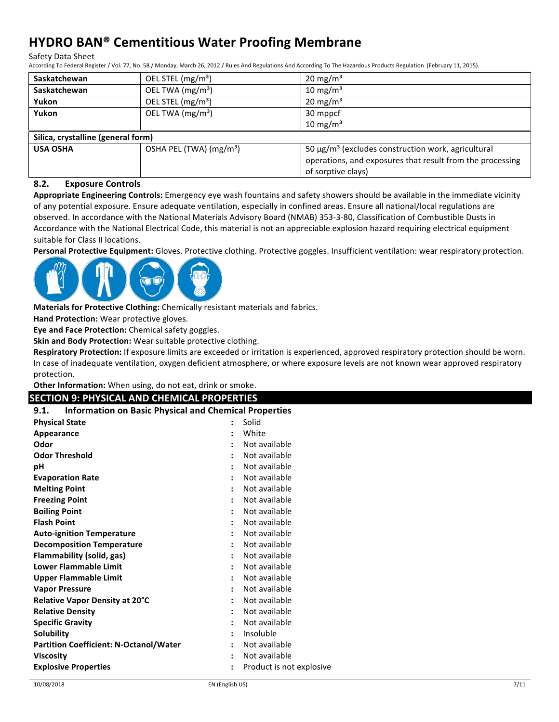Safety Data Sheet

According To Federal Register / Vol. 77, No. 58 / Monday, March 26, 2012 / Rules And Regulations And According To The Hazardous Products Regulation (February 11, 2015).

| <b>Saskatchewan</b>                | OEL STEL (mg/m <sup>3</sup> )       | $20 \text{ mg/m}^3$                                                                                                                                    |  |  |
|------------------------------------|-------------------------------------|--------------------------------------------------------------------------------------------------------------------------------------------------------|--|--|
| <b>Saskatchewan</b>                | OEL TWA (mg/m <sup>3</sup> )        | $10 \text{ mg/m}^3$                                                                                                                                    |  |  |
| Yukon                              | OEL STEL (mg/m <sup>3</sup> )       | $20 \text{ mg/m}^3$                                                                                                                                    |  |  |
| Yukon                              | OEL TWA $(mg/m3)$                   | 30 mppcf                                                                                                                                               |  |  |
|                                    |                                     | 10 mg/m $3$                                                                                                                                            |  |  |
| Silica, crystalline (general form) |                                     |                                                                                                                                                        |  |  |
| <b>USA OSHA</b>                    | OSHA PEL (TWA) (mg/m <sup>3</sup> ) | 50 $\mu$ g/m <sup>3</sup> (excludes construction work, agricultural<br>operations, and exposures that result from the processing<br>of sorptive clays) |  |  |

#### **8.2. Exposure Controls**

Appropriate Engineering Controls: Emergency eye wash fountains and safety showers should be available in the immediate vicinity of any potential exposure. Ensure adequate ventilation, especially in confined areas. Ensure all national/local regulations are observed. In accordance with the National Materials Advisory Board (NMAB) 353-3-80, Classification of Combustible Dusts in Accordance with the National Electrical Code, this material is not an appreciable explosion hazard requiring electrical equipment suitable for Class II locations.

Personal Protective Equipment: Gloves. Protective clothing. Protective goggles. Insufficient ventilation: wear respiratory protection.



**Materials for Protective Clothing:** Chemically resistant materials and fabrics.

**Hand Protection:** Wear protective gloves.

**Eye and Face Protection:** Chemical safety goggles.

**Skin and Body Protection:** Wear suitable protective clothing.

**Respiratory Protection:** If exposure limits are exceeded or irritation is experienced, approved respiratory protection should be worn. In case of inadequate ventilation, oxygen deficient atmosphere, or where exposure levels are not known wear approved respiratory protection.

Other Information: When using, do not eat, drink or smoke.

#### **SECTION 9: PHYSICAL AND CHEMICAL PROPERTIES**

| <b>Information on Basic Physical and Chemical Properties</b><br>9.1. |                                       |
|----------------------------------------------------------------------|---------------------------------------|
| <b>Physical State</b>                                                | Solid<br>$\ddot{\phantom{a}}$         |
| Appearance                                                           | White                                 |
| Odor                                                                 | Not available<br>$\ddot{\phantom{a}}$ |
| <b>Odor Threshold</b>                                                | Not available                         |
| рH                                                                   | Not available                         |
| <b>Evaporation Rate</b>                                              | Not available                         |
| <b>Melting Point</b>                                                 | Not available                         |
| <b>Freezing Point</b>                                                | Not available                         |
| <b>Boiling Point</b>                                                 | Not available                         |
| <b>Flash Point</b>                                                   | Not available<br>$\ddot{\cdot}$       |
| <b>Auto-ignition Temperature</b>                                     | Not available<br>$\ddot{\cdot}$       |
| <b>Decomposition Temperature</b>                                     | Not available<br>$\ddot{\phantom{a}}$ |
| <b>Flammability (solid, gas)</b>                                     | Not available<br>÷                    |
| <b>Lower Flammable Limit</b>                                         | Not available<br>$\cdot$              |
| <b>Upper Flammable Limit</b>                                         | Not available                         |
| <b>Vapor Pressure</b>                                                | Not available                         |
| Relative Vapor Density at 20°C                                       | Not available                         |
| <b>Relative Density</b>                                              | Not available                         |
| <b>Specific Gravity</b>                                              | Not available                         |
| Solubility                                                           | Insoluble                             |
| <b>Partition Coefficient: N-Octanol/Water</b>                        | Not available                         |
| <b>Viscosity</b>                                                     | Not available<br>$\ddot{\phantom{a}}$ |
| <b>Explosive Properties</b>                                          | Product is not explosive<br>÷         |
|                                                                      |                                       |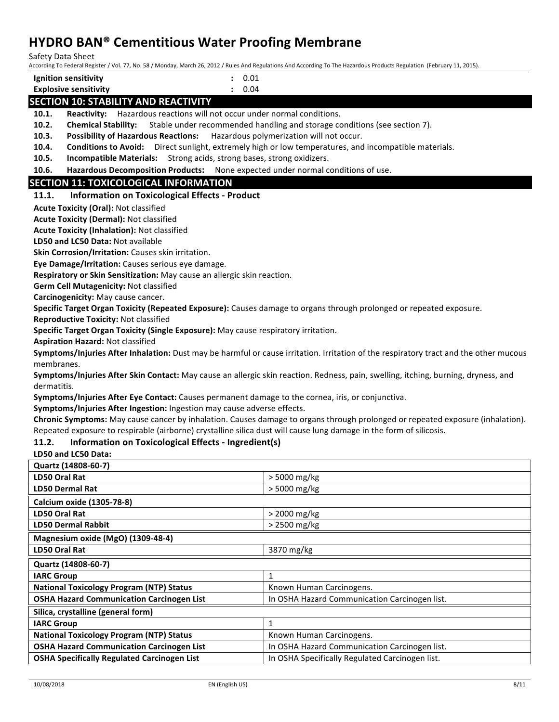Safety Data Sheet

According To Federal Register / Vol. 77, No. 58 / Monday, March 26, 2012 / Rules And Regulations And According To The Hazardous Products Regulation (February 11, 2015).

| Ignition sensitivity                        | 0.01 |
|---------------------------------------------|------|
| <b>Explosive sensitivity</b>                | 0.04 |
| <b>SECTION 10: STARILITY AND REACTIVITY</b> |      |

### **SECTION 10: STABILITY AND REACTIVITY**

**10.1.** Reactivity: Hazardous reactions will not occur under normal conditions.

**10.2. Chemical Stability:** Stable under recommended handling and storage conditions (see section 7).

**10.3.** Possibility of Hazardous Reactions: Hazardous polymerization will not occur.

**10.4.** Conditions to Avoid: Direct sunlight, extremely high or low temperatures, and incompatible materials.

**10.5. Incompatible Materials:** Strong acids, strong bases, strong oxidizers.

**10.6.** Hazardous Decomposition Products: None expected under normal conditions of use.

#### **SECTION 11: TOXICOLOGICAL INFORMATION**

#### **11.1.** Information on Toxicological Effects - Product

**Acute Toxicity (Oral): Not classified** 

**Acute Toxicity (Dermal):** Not classified

**Acute Toxicity (Inhalation): Not classified** 

**LD50 and LC50 Data: Not available** 

**Skin Corrosion/Irritation:** Causes skin irritation.

**Eye Damage/Irritation:** Causes serious eye damage.

**Respiratory or Skin Sensitization:** May cause an allergic skin reaction.

**Germ Cell Mutagenicity: Not classified** 

**Carcinogenicity:** May cause cancer.

**Specific Target Organ Toxicity (Repeated Exposure):** Causes damage to organs through prolonged or repeated exposure.

**Reproductive Toxicity: Not classified** 

**Specific Target Organ Toxicity (Single Exposure):** May cause respiratory irritation.

**Aspiration Hazard: Not classified** 

**Symptoms/Injuries After Inhalation:** Dust may be harmful or cause irritation. Irritation of the respiratory tract and the other mucous membranes.

**Symptoms/Injuries After Skin Contact:** May cause an allergic skin reaction. Redness, pain, swelling, itching, burning, dryness, and dermatitis.

**Symptoms/Injuries After Eye Contact:** Causes permanent damage to the cornea, iris, or conjunctiva.

**Symptoms/Injuries After Ingestion:** Ingestion may cause adverse effects.

**Chronic Symptoms:** May cause cancer by inhalation. Causes damage to organs through prolonged or repeated exposure (inhalation). Repeated exposure to respirable (airborne) crystalline silica dust will cause lung damage in the form of silicosis.

#### **11.2. Information on Toxicological Effects - Ingredient(s)**

**LD50 and LC50 Data:** 

| Quartz (14808-60-7)                                |                                                 |
|----------------------------------------------------|-------------------------------------------------|
| LD50 Oral Rat                                      | > 5000 mg/kg                                    |
| <b>LD50 Dermal Rat</b>                             | > 5000 mg/kg                                    |
| Calcium oxide (1305-78-8)                          |                                                 |
| LD50 Oral Rat                                      | $>$ 2000 mg/kg                                  |
| <b>LD50 Dermal Rabbit</b>                          | > 2500 mg/kg                                    |
| Magnesium oxide (MgO) (1309-48-4)                  |                                                 |
| LD50 Oral Rat                                      | 3870 mg/kg                                      |
| Quartz (14808-60-7)                                |                                                 |
| <b>IARC Group</b>                                  | 1                                               |
| <b>National Toxicology Program (NTP) Status</b>    | Known Human Carcinogens.                        |
| <b>OSHA Hazard Communication Carcinogen List</b>   | In OSHA Hazard Communication Carcinogen list.   |
| Silica, crystalline (general form)                 |                                                 |
| <b>IARC Group</b>                                  | 1                                               |
| <b>National Toxicology Program (NTP) Status</b>    | Known Human Carcinogens.                        |
| <b>OSHA Hazard Communication Carcinogen List</b>   | In OSHA Hazard Communication Carcinogen list.   |
| <b>OSHA Specifically Regulated Carcinogen List</b> | In OSHA Specifically Regulated Carcinogen list. |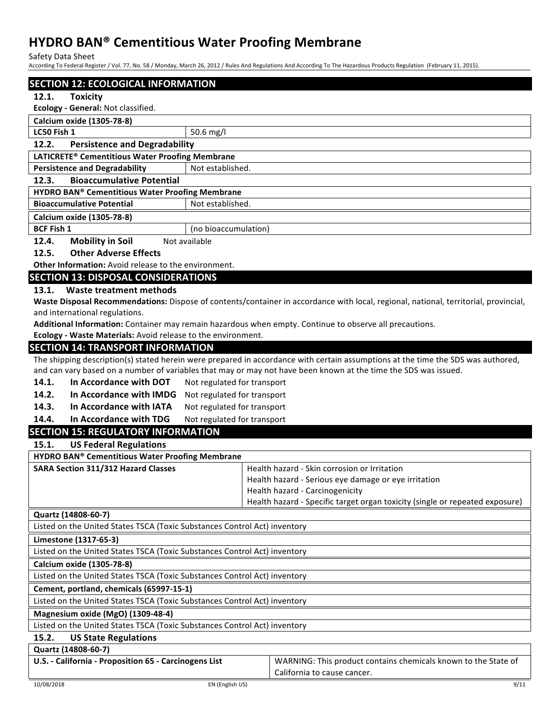Safety Data Sheet

According To Federal Register / Vol. 77, No. 58 / Monday, March 26, 2012 / Rules And Regulations And According To The Hazardous Products Regulation (February 11, 2015).

| <b>SECTION 12: ECOLOGICAL INFORMATION</b><br>12.1.<br><b>Toxicity</b><br>Ecology - General: Not classified.<br>Calcium oxide (1305-78-8) |  |  |  |
|------------------------------------------------------------------------------------------------------------------------------------------|--|--|--|
|                                                                                                                                          |  |  |  |
|                                                                                                                                          |  |  |  |
|                                                                                                                                          |  |  |  |
| LC50 Fish 1                                                                                                                              |  |  |  |
| 50.6 mg/l                                                                                                                                |  |  |  |
| 12.2.<br><b>Persistence and Degradability</b>                                                                                            |  |  |  |
| LATICRETE® Cementitious Water Proofing Membrane                                                                                          |  |  |  |
| <b>Persistence and Degradability</b><br>Not established.                                                                                 |  |  |  |
| 12.3.<br><b>Bioaccumulative Potential</b>                                                                                                |  |  |  |
| <b>HYDRO BAN® Cementitious Water Proofing Membrane</b><br><b>Bioaccumulative Potential</b><br>Not established.                           |  |  |  |
|                                                                                                                                          |  |  |  |
| Calcium oxide (1305-78-8)                                                                                                                |  |  |  |
| <b>BCF Fish 1</b><br>(no bioaccumulation)                                                                                                |  |  |  |
| 12.4.<br><b>Mobility in Soil</b><br>Not available                                                                                        |  |  |  |
| <b>Other Adverse Effects</b><br>12.5.                                                                                                    |  |  |  |
| <b>Other Information:</b> Avoid release to the environment.                                                                              |  |  |  |
| <b>SECTION 13: DISPOSAL CONSIDERATIONS</b>                                                                                               |  |  |  |
| Waste treatment methods<br>13.1.                                                                                                         |  |  |  |
| Waste Disposal Recommendations: Dispose of contents/container in accordance with local, regional, national, territorial, provincial,     |  |  |  |
| and international regulations.                                                                                                           |  |  |  |
| Additional Information: Container may remain hazardous when empty. Continue to observe all precautions.                                  |  |  |  |
| Ecology - Waste Materials: Avoid release to the environment.                                                                             |  |  |  |
| <b>SECTION 14: TRANSPORT INFORMATION</b>                                                                                                 |  |  |  |
| The shipping description(s) stated herein were prepared in accordance with certain assumptions at the time the SDS was authored,         |  |  |  |
| and can vary based on a number of variables that may or may not have been known at the time the SDS was issued.                          |  |  |  |
| In Accordance with DOT<br>14.1.<br>Not regulated for transport                                                                           |  |  |  |
| 14.2.<br>In Accordance with IMDG<br>Not regulated for transport                                                                          |  |  |  |
| 14.3.<br>In Accordance with IATA<br>Not regulated for transport                                                                          |  |  |  |
| 14.4.<br>In Accordance with TDG<br>Not regulated for transport                                                                           |  |  |  |
| <b>SECTION 15: REGULATORY INFORMATION</b>                                                                                                |  |  |  |
| 15.1.<br><b>US Federal Regulations</b>                                                                                                   |  |  |  |
| <b>HYDRO BAN® Cementitious Water Proofing Membrane</b>                                                                                   |  |  |  |
| <b>SARA Section 311/312 Hazard Classes</b><br>Health hazard - Skin corrosion or Irritation                                               |  |  |  |
| Health hazard - Serious eye damage or eye irritation                                                                                     |  |  |  |
| Health hazard - Carcinogenicity                                                                                                          |  |  |  |
| Health hazard - Specific target organ toxicity (single or repeated exposure)                                                             |  |  |  |
| Quartz (14808-60-7)                                                                                                                      |  |  |  |
| Listed on the United States TSCA (Toxic Substances Control Act) inventory                                                                |  |  |  |
| Limestone (1317-65-3)                                                                                                                    |  |  |  |
| Listed on the United States TSCA (Toxic Substances Control Act) inventory                                                                |  |  |  |
| Calcium oxide (1305-78-8)                                                                                                                |  |  |  |
| Listed on the United States TSCA (Toxic Substances Control Act) inventory                                                                |  |  |  |
| Cement, portland, chemicals (65997-15-1)                                                                                                 |  |  |  |
| Listed on the United States TSCA (Toxic Substances Control Act) inventory                                                                |  |  |  |
| Magnesium oxide (MgO) (1309-48-4)                                                                                                        |  |  |  |
| Listed on the United States TSCA (Toxic Substances Control Act) inventory                                                                |  |  |  |
| 15.2.<br><b>US State Regulations</b>                                                                                                     |  |  |  |
| Quartz (14808-60-7)                                                                                                                      |  |  |  |
| U.S. - California - Proposition 65 - Carcinogens List<br>WARNING: This product contains chemicals known to the State of                  |  |  |  |
| California to cause cancer.                                                                                                              |  |  |  |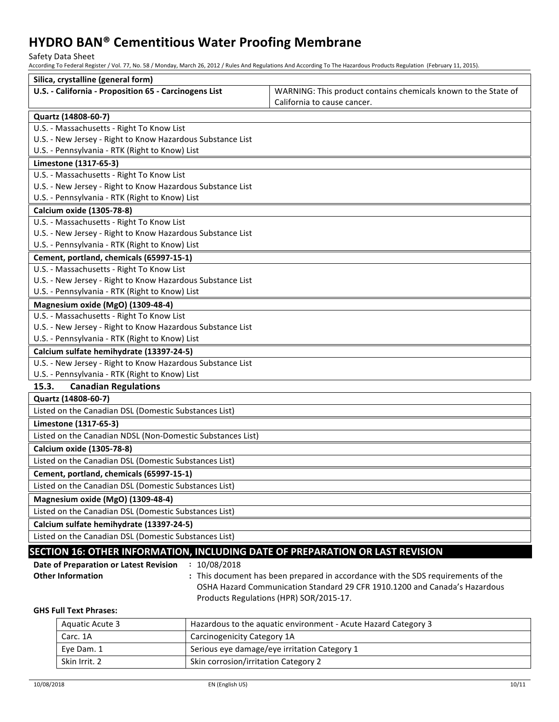Safety Data Sheet

According To Federal Register / Vol. 77, No. 58 / Monday, March 26, 2012 / Rules And Regulations And According To The Hazardous Products Regulation (February 11, 2015).

| Silica, crystalline (general form)                                               |                                                                                                                                                                |  |  |  |
|----------------------------------------------------------------------------------|----------------------------------------------------------------------------------------------------------------------------------------------------------------|--|--|--|
| U.S. - California - Proposition 65 - Carcinogens List                            | WARNING: This product contains chemicals known to the State of                                                                                                 |  |  |  |
|                                                                                  | California to cause cancer.                                                                                                                                    |  |  |  |
| Quartz (14808-60-7)                                                              |                                                                                                                                                                |  |  |  |
| U.S. - Massachusetts - Right To Know List                                        |                                                                                                                                                                |  |  |  |
| U.S. - New Jersey - Right to Know Hazardous Substance List                       |                                                                                                                                                                |  |  |  |
| U.S. - Pennsylvania - RTK (Right to Know) List                                   |                                                                                                                                                                |  |  |  |
| Limestone (1317-65-3)                                                            |                                                                                                                                                                |  |  |  |
| U.S. - Massachusetts - Right To Know List                                        |                                                                                                                                                                |  |  |  |
| U.S. - New Jersey - Right to Know Hazardous Substance List                       |                                                                                                                                                                |  |  |  |
| U.S. - Pennsylvania - RTK (Right to Know) List                                   |                                                                                                                                                                |  |  |  |
| Calcium oxide (1305-78-8)                                                        |                                                                                                                                                                |  |  |  |
| U.S. - Massachusetts - Right To Know List                                        |                                                                                                                                                                |  |  |  |
| U.S. - New Jersey - Right to Know Hazardous Substance List                       |                                                                                                                                                                |  |  |  |
| U.S. - Pennsylvania - RTK (Right to Know) List                                   |                                                                                                                                                                |  |  |  |
| Cement, portland, chemicals (65997-15-1)                                         |                                                                                                                                                                |  |  |  |
| U.S. - Massachusetts - Right To Know List                                        |                                                                                                                                                                |  |  |  |
| U.S. - New Jersey - Right to Know Hazardous Substance List                       |                                                                                                                                                                |  |  |  |
| U.S. - Pennsylvania - RTK (Right to Know) List                                   |                                                                                                                                                                |  |  |  |
| Magnesium oxide (MgO) (1309-48-4)                                                |                                                                                                                                                                |  |  |  |
| U.S. - Massachusetts - Right To Know List                                        |                                                                                                                                                                |  |  |  |
| U.S. - New Jersey - Right to Know Hazardous Substance List                       |                                                                                                                                                                |  |  |  |
| U.S. - Pennsylvania - RTK (Right to Know) List                                   |                                                                                                                                                                |  |  |  |
| Calcium sulfate hemihydrate (13397-24-5)                                         |                                                                                                                                                                |  |  |  |
| U.S. - New Jersey - Right to Know Hazardous Substance List                       |                                                                                                                                                                |  |  |  |
| U.S. - Pennsylvania - RTK (Right to Know) List                                   |                                                                                                                                                                |  |  |  |
| 15.3.<br><b>Canadian Regulations</b>                                             |                                                                                                                                                                |  |  |  |
| Quartz (14808-60-7)                                                              |                                                                                                                                                                |  |  |  |
| Listed on the Canadian DSL (Domestic Substances List)                            |                                                                                                                                                                |  |  |  |
| Limestone (1317-65-3)                                                            |                                                                                                                                                                |  |  |  |
| Listed on the Canadian NDSL (Non-Domestic Substances List)                       |                                                                                                                                                                |  |  |  |
| Calcium oxide (1305-78-8)                                                        |                                                                                                                                                                |  |  |  |
| Listed on the Canadian DSL (Domestic Substances List)                            |                                                                                                                                                                |  |  |  |
| Cement, portland, chemicals (65997-15-1)                                         |                                                                                                                                                                |  |  |  |
| Listed on the Canadian DSL (Domestic Substances List)                            |                                                                                                                                                                |  |  |  |
| Magnesium oxide (MgO) (1309-48-4)                                                |                                                                                                                                                                |  |  |  |
| Listed on the Canadian DSL (Domestic Substances List)                            |                                                                                                                                                                |  |  |  |
| Calcium sulfate hemihydrate (13397-24-5)                                         |                                                                                                                                                                |  |  |  |
| Listed on the Canadian DSL (Domestic Substances List)                            |                                                                                                                                                                |  |  |  |
|                                                                                  |                                                                                                                                                                |  |  |  |
| SECTION 16: OTHER INFORMATION, INCLUDING DATE OF PREPARATION OR LAST REVISION    |                                                                                                                                                                |  |  |  |
| 10/08/2018<br>Date of Preparation or Latest Revision<br><b>Other Information</b> |                                                                                                                                                                |  |  |  |
|                                                                                  | : This document has been prepared in accordance with the SDS requirements of the<br>OSHA Hazard Communication Standard 29 CFR 1910.1200 and Canada's Hazardous |  |  |  |
|                                                                                  | Products Regulations (HPR) SOR/2015-17.                                                                                                                        |  |  |  |
| <b>GHS Full Text Phrases:</b>                                                    |                                                                                                                                                                |  |  |  |

| Aquatic Acute 3 | Hazardous to the aquatic environment - Acute Hazard Category 3 |
|-----------------|----------------------------------------------------------------|
| Carc. 1A        | Carcinogenicity Category 1A                                    |
| Eye Dam. 1      | Serious eye damage/eye irritation Category 1                   |
| Skin Irrit. 2   | Skin corrosion/irritation Category 2                           |